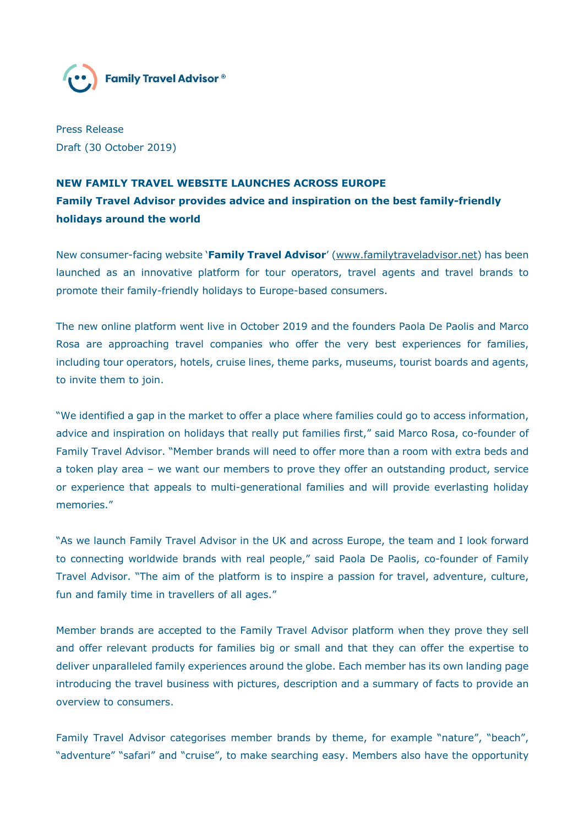

Press Release Draft (30 October 2019)

## **NEW FAMILY TRAVEL WEBSITE LAUNCHES ACROSS EUROPE Family Travel Advisor provides advice and inspiration on the best family-friendly holidays around the world**

New consumer-facing website '**Family Travel Advisor**' (www.familytraveladvisor.net) has been launched as an innovative platform for tour operators, travel agents and travel brands to promote their family-friendly holidays to Europe-based consumers.

The new online platform went live in October 2019 and the founders Paola De Paolis and Marco Rosa are approaching travel companies who offer the very best experiences for families, including tour operators, hotels, cruise lines, theme parks, museums, tourist boards and agents, to invite them to join.

"We identified a gap in the market to offer a place where families could go to access information, advice and inspiration on holidays that really put families first," said Marco Rosa, co-founder of Family Travel Advisor. "Member brands will need to offer more than a room with extra beds and a token play area – we want our members to prove they offer an outstanding product, service or experience that appeals to multi-generational families and will provide everlasting holiday memories."

"As we launch Family Travel Advisor in the UK and across Europe, the team and I look forward to connecting worldwide brands with real people," said Paola De Paolis, co-founder of Family Travel Advisor. "The aim of the platform is to inspire a passion for travel, adventure, culture, fun and family time in travellers of all ages."

Member brands are accepted to the Family Travel Advisor platform when they prove they sell and offer relevant products for families big or small and that they can offer the expertise to deliver unparalleled family experiences around the globe. Each member has its own landing page introducing the travel business with pictures, description and a summary of facts to provide an overview to consumers.

Family Travel Advisor categorises member brands by theme, for example "nature", "beach", "adventure" "safari" and "cruise", to make searching easy. Members also have the opportunity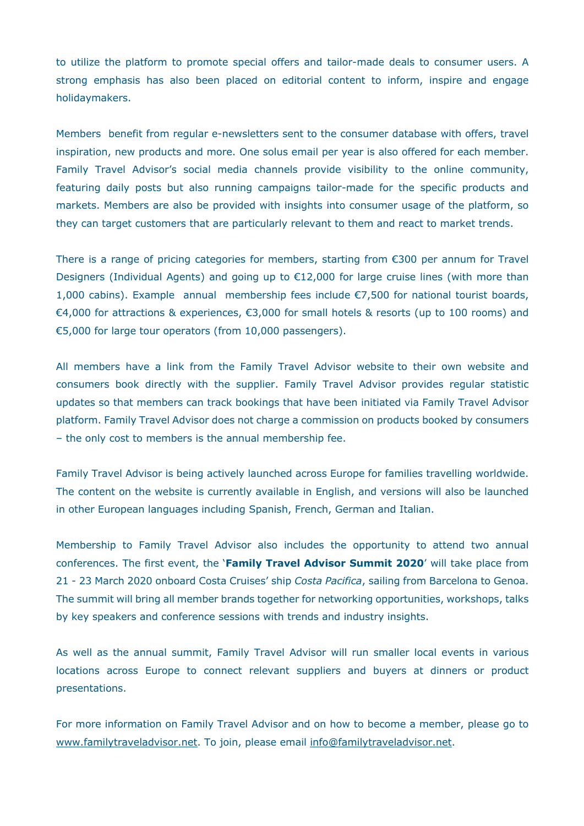to utilize the platform to promote special offers and tailor-made deals to consumer users. A strong emphasis has also been placed on editorial content to inform, inspire and engage holidaymakers.

Members benefit from regular e-newsletters sent to the consumer database with offers, travel inspiration, new products and more. One solus email per year is also offered for each member. Family Travel Advisor's social media channels provide visibility to the online community, featuring daily posts but also running campaigns tailor-made for the specific products and markets. Members are also be provided with insights into consumer usage of the platform, so they can target customers that are particularly relevant to them and react to market trends.

There is a range of pricing categories for members, starting from €300 per annum for Travel Designers (Individual Agents) and going up to €12,000 for large cruise lines (with more than 1,000 cabins). Example annual membership fees include €7,500 for national tourist boards, €4,000 for attractions & experiences, €3,000 for small hotels & resorts (up to 100 rooms) and €5,000 for large tour operators (from 10,000 passengers).

All members have a link from the Family Travel Advisor website to their own website and consumers book directly with the supplier. Family Travel Advisor provides regular statistic updates so that members can track bookings that have been initiated via Family Travel Advisor platform. Family Travel Advisor does not charge a commission on products booked by consumers – the only cost to members is the annual membership fee.

Family Travel Advisor is being actively launched across Europe for families travelling worldwide. The content on the website is currently available in English, and versions will also be launched in other European languages including Spanish, French, German and Italian.

Membership to Family Travel Advisor also includes the opportunity to attend two annual conferences. The first event, the '**Family Travel Advisor Summit 2020**' will take place from 21 - 23 March 2020 onboard Costa Cruises' ship *Costa Pacifica*, sailing from Barcelona to Genoa. The summit will bring all member brands together for networking opportunities, workshops, talks by key speakers and conference sessions with trends and industry insights.

As well as the annual summit, Family Travel Advisor will run smaller local events in various locations across Europe to connect relevant suppliers and buyers at dinners or product presentations.

For more information on Family Travel Advisor and on how to become a member, please go to www.familytraveladvisor.net. To join, please email info@familytraveladvisor.net.